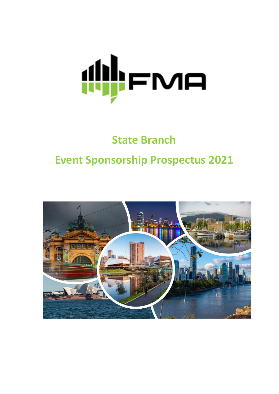

# **State Branch Event Sponsorship Prospectus 2021**

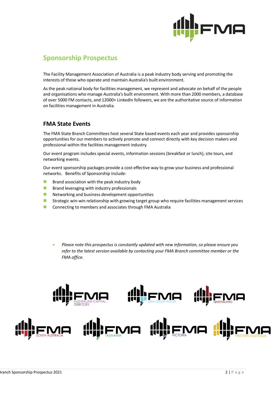

## **Sponsorship Prospectus**

The Facility Management Association of Australia is a peak industry body serving and promoting the interests of those who operate and maintain Australia's built environment.

As the peak national body for facilities management, we represent and advocate on behalf of the people and organisations who manage Australia's built environment. With more than 2000 members, a database of over 5000 FM contacts, and 12000+ LinkedIn followers, we are the authoritative source of information on facilities management in Australia.

### **FMA State Events**

The FMA State Branch Committees host several State based events each year and provides sponsorship opportunities for our members to actively promote and connect directly with key decision makers and professional within the facilities management industry.

Our event program includes special events, information sessions (breakfast or lunch), site tours, and networking events.

Our event sponsorship packages provide a cost-effective way to grow your business and professional networks. Benefits of Sponsorship include:

- $\blacksquare$  Brand association with the peak industry body
- Brand leveraging with industry professionals
- Networking and business development opportunities
- Strategic win-win relationship with growing target group who require facilities management services
- Connecting to members and associates through FMA Australia
	- *Please note this prospectus is constantly updated with new information, so please ensure you refer to the latest version available by contacting your FMA Branch committee member or the FMA office.*

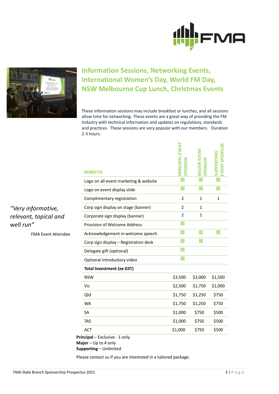



# **Information Sessions, Networking Events, International Women's Day, World FM Day, NSW Melbourne Cup Lunch, Christmas Events**

These information sessions may include breakfast or lunches, and all sessions allow time for networking. These events are a great way of providing the FM Industry with technical information and updates on regulations, standards and practices. These sessions are very popular with our members. Duration 2-3 hours.

| Logo on all event marketing & website<br>Logo on event display slide<br>$\overline{2}$<br>Complimentary registration<br>1<br>1<br>Corp sign display on stage (banner)<br>$\overline{2}$<br>1<br>$\overline{2}$<br>1<br>Corporate sign display (banner)<br>Provision of Welcome Address<br>Acknowledgement in welcome speech<br>Corp sign display - Registration desk<br>Delegate gift (optional)<br>Optional introductory video<br><b>Total Investment (ex GST)</b><br><b>NSW</b><br>\$3,500<br>\$2,000<br>\$1,500<br>Vic<br>\$2,500<br>\$1,750<br>\$1,000<br>\$1,750<br>Qld<br>\$1,250<br>\$750<br><b>WA</b><br>\$1,750<br>\$1,250<br>\$750<br>\$1,000<br>\$750<br>\$500<br><b>SA</b><br>\$1,000<br><b>TAS</b><br>\$750<br>\$500<br>\$1,000<br>\$750<br>\$500<br><b>ACT</b> | <b>BENEFITS</b> | PRINCIPAL EVENT<br>PONSOR | <b>DREVEN</b><br><b>SPONSOR</b> | EVENT SPONSOR<br><b>UPPORTING</b> |
|------------------------------------------------------------------------------------------------------------------------------------------------------------------------------------------------------------------------------------------------------------------------------------------------------------------------------------------------------------------------------------------------------------------------------------------------------------------------------------------------------------------------------------------------------------------------------------------------------------------------------------------------------------------------------------------------------------------------------------------------------------------------------|-----------------|---------------------------|---------------------------------|-----------------------------------|
|                                                                                                                                                                                                                                                                                                                                                                                                                                                                                                                                                                                                                                                                                                                                                                              |                 |                           |                                 |                                   |
|                                                                                                                                                                                                                                                                                                                                                                                                                                                                                                                                                                                                                                                                                                                                                                              |                 |                           |                                 |                                   |
|                                                                                                                                                                                                                                                                                                                                                                                                                                                                                                                                                                                                                                                                                                                                                                              |                 |                           |                                 |                                   |
|                                                                                                                                                                                                                                                                                                                                                                                                                                                                                                                                                                                                                                                                                                                                                                              |                 |                           |                                 |                                   |
|                                                                                                                                                                                                                                                                                                                                                                                                                                                                                                                                                                                                                                                                                                                                                                              |                 |                           |                                 |                                   |
|                                                                                                                                                                                                                                                                                                                                                                                                                                                                                                                                                                                                                                                                                                                                                                              |                 |                           |                                 |                                   |
|                                                                                                                                                                                                                                                                                                                                                                                                                                                                                                                                                                                                                                                                                                                                                                              |                 |                           |                                 |                                   |
|                                                                                                                                                                                                                                                                                                                                                                                                                                                                                                                                                                                                                                                                                                                                                                              |                 |                           |                                 |                                   |
|                                                                                                                                                                                                                                                                                                                                                                                                                                                                                                                                                                                                                                                                                                                                                                              |                 |                           |                                 |                                   |
|                                                                                                                                                                                                                                                                                                                                                                                                                                                                                                                                                                                                                                                                                                                                                                              |                 |                           |                                 |                                   |
|                                                                                                                                                                                                                                                                                                                                                                                                                                                                                                                                                                                                                                                                                                                                                                              |                 |                           |                                 |                                   |
|                                                                                                                                                                                                                                                                                                                                                                                                                                                                                                                                                                                                                                                                                                                                                                              |                 |                           |                                 |                                   |
|                                                                                                                                                                                                                                                                                                                                                                                                                                                                                                                                                                                                                                                                                                                                                                              |                 |                           |                                 |                                   |
|                                                                                                                                                                                                                                                                                                                                                                                                                                                                                                                                                                                                                                                                                                                                                                              |                 |                           |                                 |                                   |
|                                                                                                                                                                                                                                                                                                                                                                                                                                                                                                                                                                                                                                                                                                                                                                              |                 |                           |                                 |                                   |
|                                                                                                                                                                                                                                                                                                                                                                                                                                                                                                                                                                                                                                                                                                                                                                              |                 |                           |                                 |                                   |
|                                                                                                                                                                                                                                                                                                                                                                                                                                                                                                                                                                                                                                                                                                                                                                              |                 |                           |                                 |                                   |
|                                                                                                                                                                                                                                                                                                                                                                                                                                                                                                                                                                                                                                                                                                                                                                              |                 |                           |                                 |                                   |

**Principal** – Exclusive - 1 only **Major** – Up to 4 only **Supporting** – Unlimited

Please contact us if you are interested in a tailored package.

*"Very informative, relevant, topical and well run"*

FMA Event Attendee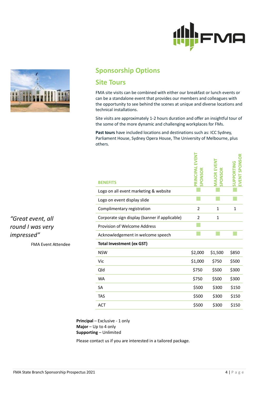



## **Sponsorship Options**

## **Site Tours**

FMA site visits can be combined with either our breakfast or lunch events or can be a standalone event that provides our members and colleagues with the opportunity to see behind the scenes at unique and diverse locations and technical installations.

Site visits are approximately 1-2 hours duration and offer an insightful tour of the some of the more dynamic and challenging workplaces for FMs.

**Past tours** have included locations and destinations such as: ICC Sydney, Parliament House, Sydney Opera House, The University of Melbourne, plus others.

| <b>BENEFITS</b>                               | EVENT<br>ᅀ     | LN3<br><b>ONSOR</b><br>흕 | <b>SPONSOR</b><br><b>SUPPORTING</b><br>EVENT |
|-----------------------------------------------|----------------|--------------------------|----------------------------------------------|
| Logo on all event marketing & website         |                |                          |                                              |
| Logo on event display slide                   |                |                          |                                              |
| Complimentary registration                    | $\overline{2}$ | $\mathbf{1}$             | $\mathbf{1}$                                 |
| Corporate sign display (banner if applicable) | $\overline{2}$ | $\mathbf{1}$             |                                              |
| Provision of Welcome Address                  |                |                          |                                              |
| Acknowledgement in welcome speech             |                |                          |                                              |
| <b>Total Investment (ex GST)</b>              |                |                          |                                              |
| <b>NSW</b>                                    | \$2,000        | \$1,500                  | \$850                                        |
| Vic                                           | \$1,000        | \$750                    | \$500                                        |
| Qld                                           | \$750          | \$500                    | \$300                                        |
| <b>WA</b>                                     |                |                          |                                              |
|                                               | \$750          | \$500                    | \$300                                        |
| <b>SA</b>                                     | \$500          | \$300                    | \$150                                        |
| <b>TAS</b>                                    | \$500          | \$300                    | \$150                                        |

**Principal** – Exclusive - 1 only **Major** – Up to 4 only **Supporting** – Unlimited

Please contact us if you are interested in a tailored package.

*"Great event, all round I was very impressed"*

FMA Event Attendee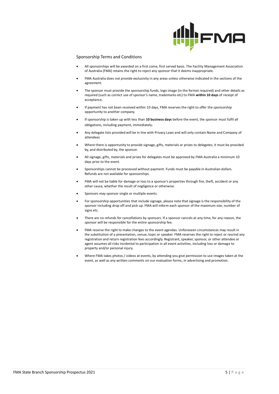

#### Sponsorship Terms and Conditions

- All sponsorships will be awarded on a first come, first served basis. The Facility Management Association of Australia (FMA) retains the right to reject any sponsor that it deems inappropriate.
- FMA Australia does not provide exclusivity in any areas unless otherwise indicated in the sections of the agreement.
- The sponsor must provide the sponsorship funds, logo image (in the format required) and other details as required (such as correct use of sponsor's name, trademarks etc) to FMA **within 10 days** of receipt of acceptance.
- If payment has not been received within 10 days, FMA reserves the right to offer the sponsorship opportunity to another company.
- If sponsorship is taken up with less than **10 business days** before the event, the sponsor must fulfil all obligations, including payment, immediately.
- Any delegate lists provided will be in line with Privacy Laws and will only contain Name and Company of attendees
- Where there is opportunity to provide signage, gifts, materials or prizes to delegates; it must be provided by, and distributed by, the sponsor.
- All signage, gifts, materials and prizes for delegates must be approved by FMA Australia a minimum 10 days prior to the event.
- Sponsorships cannot be processed without payment. Funds must be payable in Australian dollars. Refunds are not available for sponsorships.
- FMA will not be liable for damage or loss to a sponsor's properties through fire, theft, accident or any other cause, whether the result of negligence or otherwise.
- Sponsors may sponsor single or multiple events.
- For sponsorship opportunities that include signage, please note that signage is the responsibility of the sponsor including drop off and pick up. FMA will inform each sponsor of the maximum size, number of signs etc.
- There are no refunds for cancellations by sponsors. If a sponsor cancels at any time, for any reason, the sponsor will be responsible for the entire sponsorship fee.
- FMA reserve the right to make changes to the event agendas. Unforeseen circumstances may result in the substitution of a presentation, venue, topic or speaker. FMA reserves the right to reject or rescind any registration and return registration fees accordingly. Registrant, speaker, sponsor, or other attendee or agent assumes all risks incidental to participation in all event activities, including loss or damage to property and/or personal injury.
- Where FMA takes photos / videos at events, by attending you give permission to use images taken at the event, as well as any written comments on our evaluation forms, in advertising and promotion.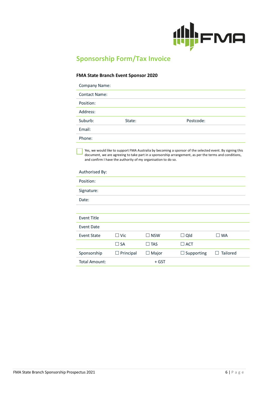

# **Sponsorship Form/Tax Invoice**

#### **FMA State Branch Event Sponsor 2020**

l,

| Company Name:        |        |           |
|----------------------|--------|-----------|
| <b>Contact Name:</b> |        |           |
| Position:            |        |           |
| Address:             |        |           |
| Suburb:              | State: | Postcode: |
| Email:               |        |           |
| Phone:               |        |           |
|                      |        |           |

Yes, we would like to support FMA Australia by becoming a sponsor of the selected event. By signing this document, we are agreeing to take part in a sponsorship arrangement, as per the terms and conditions, and confirm I have the authority of my organisation to do so.

| $\Box$ Vic       | $\square$ NSW | $\Box$ Qld        | $\square$ WA  |
|------------------|---------------|-------------------|---------------|
| $\Box$ SA        | $\square$ TAS | $\Box$ ACT        |               |
| $\Box$ Principal | $\Box$ Major  | $\Box$ Supporting | Tailored<br>H |
|                  | + GST         |                   |               |
|                  |               |                   |               |